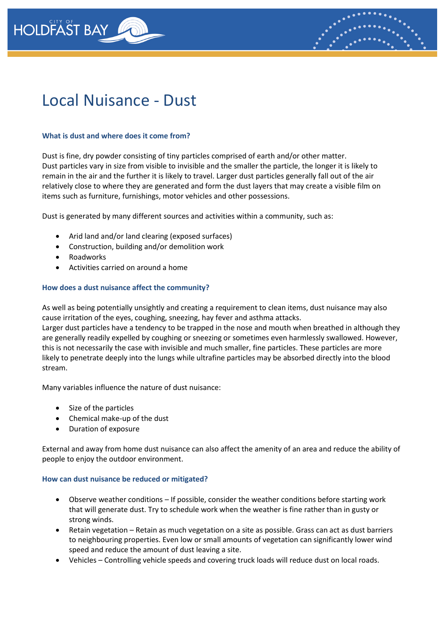



### **What is dust and where does it come from?**

Dust is fine, dry powder consisting of tiny particles comprised of earth and/or other matter. Dust particles vary in size from visible to invisible and the smaller the particle, the longer it is likely to remain in the air and the further it is likely to travel. Larger dust particles generally fall out of the air relatively close to where they are generated and form the dust layers that may create a visible film on items such as furniture, furnishings, motor vehicles and other possessions.

Dust is generated by many different sources and activities within a community, such as:

- Arid land and/or land clearing (exposed surfaces)
- Construction, building and/or demolition work
- Roadworks
- Activities carried on around a home

### **How does a dust nuisance affect the community?**

As well as being potentially unsightly and creating a requirement to clean items, dust nuisance may also cause irritation of the eyes, coughing, sneezing, hay fever and asthma attacks.

Larger dust particles have a tendency to be trapped in the nose and mouth when breathed in although they are generally readily expelled by coughing or sneezing or sometimes even harmlessly swallowed. However, this is not necessarily the case with invisible and much smaller, fine particles. These particles are more likely to penetrate deeply into the lungs while ultrafine particles may be absorbed directly into the blood stream.

Many variables influence the nature of dust nuisance:

- Size of the particles
- Chemical make-up of the dust
- Duration of exposure

External and away from home dust nuisance can also affect the amenity of an area and reduce the ability of people to enjoy the outdoor environment.

### **How can dust nuisance be reduced or mitigated?**

- Observe weather conditions If possible, consider the weather conditions before starting work that will generate dust. Try to schedule work when the weather is fine rather than in gusty or strong winds.
- Retain vegetation Retain as much vegetation on a site as possible. Grass can act as dust barriers to neighbouring properties. Even low or small amounts of vegetation can significantly lower wind speed and reduce the amount of dust leaving a site.
- Vehicles Controlling vehicle speeds and covering truck loads will reduce dust on local roads.